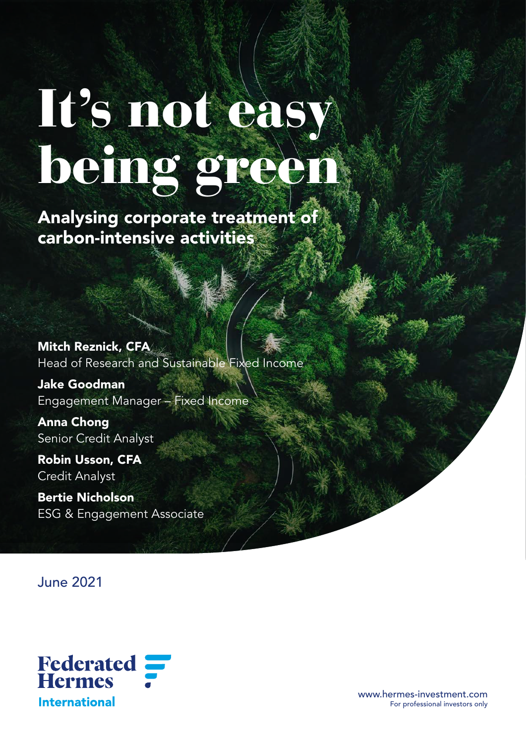# It's not easy being green

Analysing corporate treatment of carbon-intensive activities

Mitch Reznick, CFA Head of Research and Sustainable Fixed Income

Jake Goodman Engagement Manager – Fixed Income

Anna Chong Senior Credit Analyst

Robin Usson, CFA Credit Analyst

Bertie Nicholson ESG & Engagement Associate

June 2021



www.hermes-investment.com For professional investors only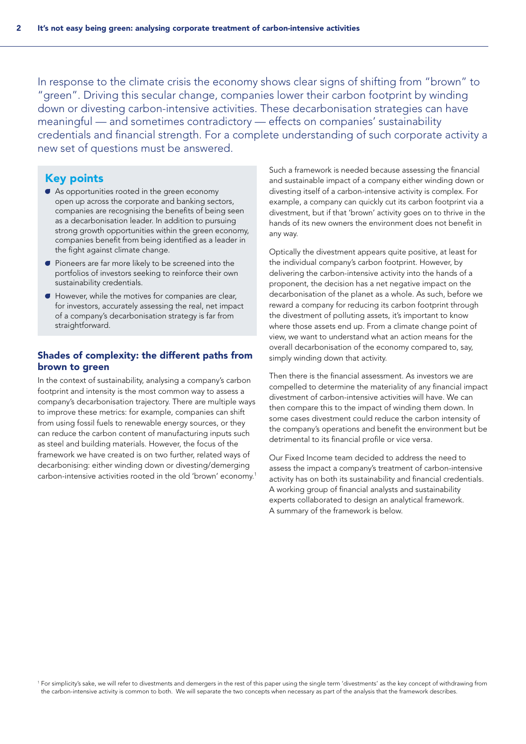In response to the climate crisis the economy shows clear signs of shifting from "brown" to "green". Driving this secular change, companies lower their carbon footprint by winding down or divesting carbon-intensive activities. These decarbonisation strategies can have meaningful — and sometimes contradictory — effects on companies' sustainability credentials and financial strength. For a complete understanding of such corporate activity a new set of questions must be answered.

# Key points

- A As opportunities rooted in the green economy open up across the corporate and banking sectors, companies are recognising the benefits of being seen as a decarbonisation leader. In addition to pursuing strong growth opportunities within the green economy, companies benefit from being identified as a leader in the fight against climate change.
- A Pioneers are far more likely to be screened into the portfolios of investors seeking to reinforce their own sustainability credentials.
- A However, while the motives for companies are clear, for investors, accurately assessing the real, net impact of a company's decarbonisation strategy is far from straightforward.

# Shades of complexity: the different paths from brown to green

In the context of sustainability, analysing a company's carbon footprint and intensity is the most common way to assess a company's decarbonisation trajectory. There are multiple ways to improve these metrics: for example, companies can shift from using fossil fuels to renewable energy sources, or they can reduce the carbon content of manufacturing inputs such as steel and building materials. However, the focus of the framework we have created is on two further, related ways of decarbonising: either winding down or divesting/demerging carbon-intensive activities rooted in the old 'brown' economy.1 Such a framework is needed because assessing the financial and sustainable impact of a company either winding down or divesting itself of a carbon-intensive activity is complex. For example, a company can quickly cut its carbon footprint via a divestment, but if that 'brown' activity goes on to thrive in the hands of its new owners the environment does not benefit in any way.

Optically the divestment appears quite positive, at least for the individual company's carbon footprint. However, by delivering the carbon-intensive activity into the hands of a proponent, the decision has a net negative impact on the decarbonisation of the planet as a whole. As such, before we reward a company for reducing its carbon footprint through the divestment of polluting assets, it's important to know where those assets end up. From a climate change point of view, we want to understand what an action means for the overall decarbonisation of the economy compared to, say, simply winding down that activity.

Then there is the financial assessment. As investors we are compelled to determine the materiality of any financial impact divestment of carbon-intensive activities will have. We can then compare this to the impact of winding them down. In some cases divestment could reduce the carbon intensity of the company's operations and benefit the environment but be detrimental to its financial profile or vice versa.

Our Fixed Income team decided to address the need to assess the impact a company's treatment of carbon-intensive activity has on both its sustainability and financial credentials. A working group of financial analysts and sustainability experts collaborated to design an analytical framework. A summary of the framework is below.

<sup>1</sup> For simplicity's sake, we will refer to divestments and demergers in the rest of this paper using the single term 'divestments' as the key concept of withdrawing from the carbon-intensive activity is common to both. We will separate the two concepts when necessary as part of the analysis that the framework describes.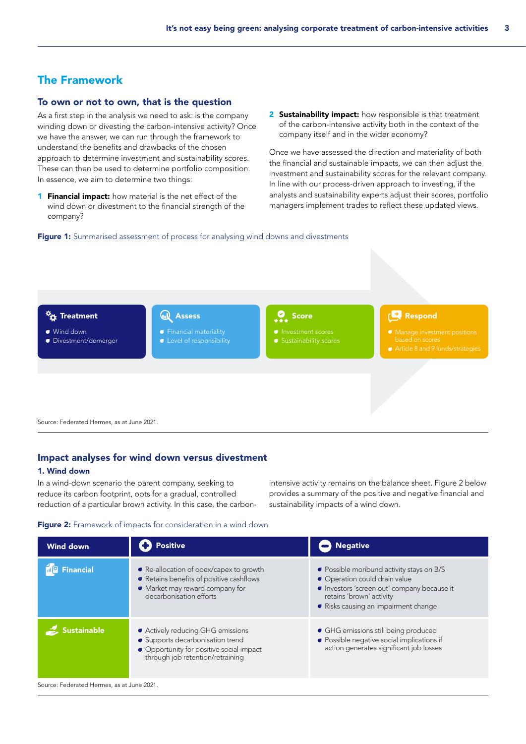# The Framework

# To own or not to own, that is the question

As a first step in the analysis we need to ask: is the company winding down or divesting the carbon-intensive activity? Once we have the answer, we can run through the framework to understand the benefits and drawbacks of the chosen approach to determine investment and sustainability scores. These can then be used to determine portfolio composition. In essence, we aim to determine two things:

- **1 Financial impact:** how material is the net effect of the wind down or divestment to the financial strength of the company?
- 2 Sustainability impact: how responsible is that treatment of the carbon-intensive activity both in the context of the company itself and in the wider economy?

Once we have assessed the direction and materiality of both the financial and sustainable impacts, we can then adjust the investment and sustainability scores for the relevant company. In line with our process-driven approach to investing, if the analysts and sustainability experts adjust their scores, portfolio managers implement trades to reflect these updated views.

Figure 1: Summarised assessment of process for analysing wind downs and divestments



Source: Federated Hermes, as at June 2021.

## Impact analyses for wind down versus divestment

#### 1. Wind down

In a wind-down scenario the parent company, seeking to reduce its carbon footprint, opts for a gradual, controlled reduction of a particular brown activity. In this case, the carbon-

intensive activity remains on the balance sheet. Figure 2 below provides a summary of the positive and negative financial and sustainability impacts of a wind down.

#### Figure 2: Framework of impacts for consideration in a wind down

| <b>Wind down</b>                          | <b>Positive</b>                                                                                                                                       | <b>Negative</b>                                                                                                                                                                           |  |
|-------------------------------------------|-------------------------------------------------------------------------------------------------------------------------------------------------------|-------------------------------------------------------------------------------------------------------------------------------------------------------------------------------------------|--|
| <b>ng</b> Financial                       | • Re-allocation of opex/capex to growth<br>Retains benefits of positive cashflows<br>• Market may reward company for<br>decarbonisation efforts       | • Possible moribund activity stays on B/S<br>• Operation could drain value<br>Investors 'screen out' company because it<br>retains 'brown' activity<br>Risks causing an impairment change |  |
| ustainable                                | • Actively reducing GHG emissions<br>• Supports decarbonisation trend<br>• Opportunity for positive social impact<br>through job retention/retraining | • GHG emissions still being produced<br>• Possible negative social implications if<br>action generates significant job losses                                                             |  |
| Course: Enderstad Harmes, so at June 2021 |                                                                                                                                                       |                                                                                                                                                                                           |  |

Irce: Federated Hermes, as at June 2021.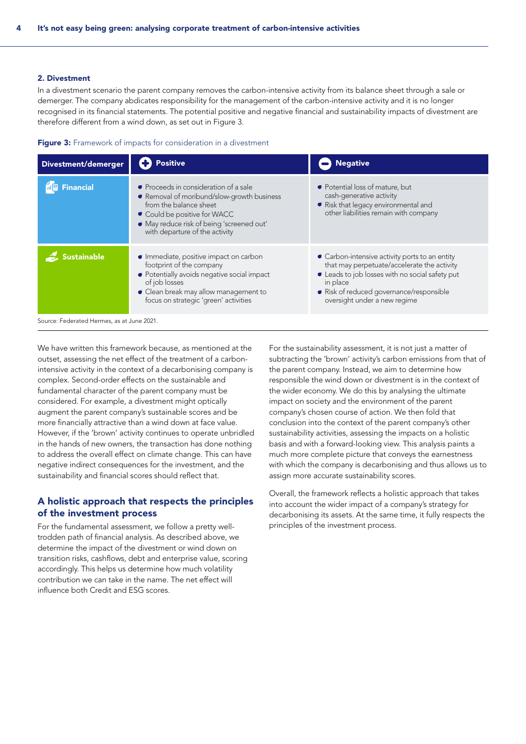#### 2. Divestment

In a divestment scenario the parent company removes the carbon-intensive activity from its balance sheet through a sale or demerger. The company abdicates responsibility for the management of the carbon-intensive activity and it is no longer recognised in its financial statements. The potential positive and negative financial and sustainability impacts of divestment are therefore different from a wind down, as set out in Figure 3.



| Divestment/demerger                       | <b>Positive</b>                                                                                                                                                                                                        | <b>Negative</b>                                                                                                                                                                                                                        |  |
|-------------------------------------------|------------------------------------------------------------------------------------------------------------------------------------------------------------------------------------------------------------------------|----------------------------------------------------------------------------------------------------------------------------------------------------------------------------------------------------------------------------------------|--|
| <b>Financial</b>                          | • Proceeds in consideration of a sale<br>Removal of moribund/slow-growth business<br>from the balance sheet<br>Could be positive for WACC<br>May reduce risk of being 'screened out'<br>with departure of the activity | • Potential loss of mature, but<br>cash-generative activity<br>Risk that legacy environmental and<br>other liabilities remain with company                                                                                             |  |
| <b>istainable</b>                         | • Immediate, positive impact on carbon<br>footprint of the company<br>• Potentially avoids negative social impact<br>of job losses<br>• Clean break may allow management to<br>focus on strategic 'green' activities   | • Carbon-intensive activity ports to an entity<br>that may perpetuate/accelerate the activity<br>• Leads to job losses with no social safety put<br>in place<br>Risk of reduced governance/responsible<br>oversight under a new regime |  |
| Source: Federated Hermes, as at June 2021 |                                                                                                                                                                                                                        |                                                                                                                                                                                                                                        |  |

We have written this framework because, as mentioned at the outset, assessing the net effect of the treatment of a carbonintensive activity in the context of a decarbonising company is complex. Second-order effects on the sustainable and fundamental character of the parent company must be considered. For example, a divestment might optically augment the parent company's sustainable scores and be more financially attractive than a wind down at face value. However, if the 'brown' activity continues to operate unbridled in the hands of new owners, the transaction has done nothing to address the overall effect on climate change. This can have negative indirect consequences for the investment, and the sustainability and financial scores should reflect that.

# A holistic approach that respects the principles of the investment process

For the fundamental assessment, we follow a pretty welltrodden path of financial analysis. As described above, we determine the impact of the divestment or wind down on transition risks, cashflows, debt and enterprise value, scoring accordingly. This helps us determine how much volatility contribution we can take in the name. The net effect will influence both Credit and ESG scores.

For the sustainability assessment, it is not just a matter of subtracting the 'brown' activity's carbon emissions from that of the parent company. Instead, we aim to determine how responsible the wind down or divestment is in the context of the wider economy. We do this by analysing the ultimate impact on society and the environment of the parent company's chosen course of action. We then fold that conclusion into the context of the parent company's other sustainability activities, assessing the impacts on a holistic basis and with a forward-looking view. This analysis paints a much more complete picture that conveys the earnestness with which the company is decarbonising and thus allows us to assign more accurate sustainability scores.

Overall, the framework reflects a holistic approach that takes into account the wider impact of a company's strategy for decarbonising its assets. At the same time, it fully respects the principles of the investment process.